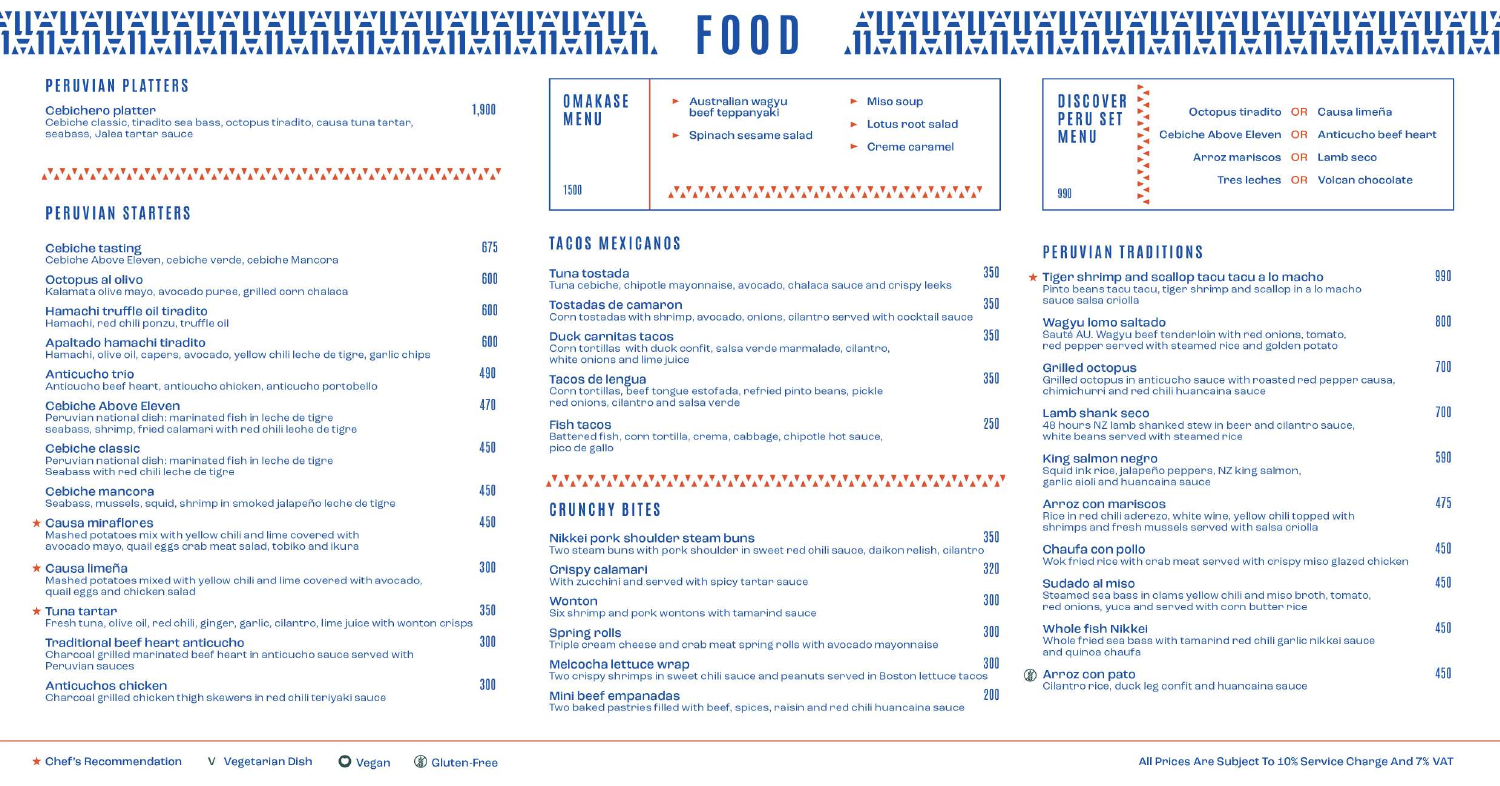#### **TUAT** YAY INA I VAN VAN VAN VAN VAN VAN VAN VAN VA FOOD YAY **TA I ET** I I.EA I II. **JEA** I GALLEA I **IFAI TIPS!** l let **IREA IS. Age**  $\lambda - \lambda$

1,900

#### **PERUVIAN PLATTERS**

Cebichero platter

Cebiche classic, tiradito sea bass, octopus tiradito, causa tuna tartar, seabass, Jalea tartar sauce

#### www.www.www.www.www.www.ww

## **PERUVIAN STARTERS**

| <b>Cebiche tasting</b><br>Cebiche Above Eleven, cebiche verde, cebiche Mancora                                                                        | 675 |
|-------------------------------------------------------------------------------------------------------------------------------------------------------|-----|
| Octopus al olivo<br>Kalamata olive mayo, avocado puree, grilled corn chalaca                                                                          | 600 |
| Hamachi truffle oil tiradito<br>Hamachi, red chili ponzu, truffle oil                                                                                 | 600 |
| Apaltado hamachi tiradito<br>Hamachi, olive oil, capers, avocado, yellow chili leche de tigre, garlic chips                                           | 600 |
| Anticucho trio<br>Anticucho beef heart, anticucho chicken, anticucho portobello                                                                       | 490 |
| Cebiche Above Eleven<br>Peruvian national dish: marinated fish in leche de tigre<br>seabass, shrimp, fried calamari with red chili leche de tigre     | 470 |
| Cebiche classic<br>Peruvian national dish: marinated fish in leche de tigre<br>Seabass with red chili leche de tigre                                  | 450 |
| Cebiche mancora<br>Seabass, mussels, squid, shrimp in smoked jalapeño leche de tigre                                                                  | 450 |
| $\star$ Causa miraflores<br>Mashed potatoes mix with yellow chili and lime covered with<br>avocado mayo, quail eggs crab meat salad, tobiko and ikura | 450 |
| $\star$ Causa limeña<br>Mashed potatoes mixed with yellow chili and lime covered with avocado,<br>quail eggs and chicken salad                        | 300 |
| $\star$ Tuna tartar<br>Fresh tuna, olive oil, red chili, ginger, garlic, cilantro, lime juice with wonton crisps                                      | 350 |
| Traditional beef heart anticucho<br>Charcoal grilled marinated beef heart in anticucho sauce served with<br>Peruvian sauces                           | 300 |
| Anticuchos chicken<br>Charcoal grilled chicken thigh skewers in red chili teriyaki sauce                                                              | 300 |



## **TACOS MEXICANOS**

| Tuna tostada<br>Tuna cebiche, chipotle mayonnaise, avocado, chalaca sauce and crispy leeks                                   | 350 |  |
|------------------------------------------------------------------------------------------------------------------------------|-----|--|
| Tostadas de camaron<br>Corn tostadas with shrimp, avocado, onions, cilantro served with cocktail sauce                       | 350 |  |
| Duck carnitas tacos<br>Corn tortillas with duck confit, salsa verde marmalade, cilantro,<br>white onions and lime juice      | 350 |  |
| Tacos de lengua<br>Corn tortillas, beef tongue estofada, refried pinto beans, pickle<br>red onions, cilantro and salsa verde | 350 |  |
| <b>Fish tacos</b><br>Battered fish, corn tortilla, crema, cabbage, chipotle hot sauce,<br>pico de gallo                      | 250 |  |
|                                                                                                                              |     |  |

# www.www.www.www.www.www.ww

#### **CRUNCHY BITES**

| Nikkei pork shoulder steam buns<br>Two steam buns with pork shoulder in sweet red chili sauce, daikon relish, cilantro | 350 |
|------------------------------------------------------------------------------------------------------------------------|-----|
| Crispy calamari<br>With zucchini and served with spicy tartar sauce                                                    | 320 |
| Wonton<br>Six shrimp and pork wontons with tamarind sauce                                                              | 300 |
| <b>Spring rolls</b><br>Triple cream cheese and crab meat spring rolls with avocado mayonnaise                          | 300 |
| Melcocha lettuce wrap<br>Two crispy shrimps in sweet chili sauce and peanuts served in Boston lettuce tacos            | 300 |
| Mini beef empanadas<br>Two baked pastries filled with beef, spices, raisin and red chili huancaina sauce               | 200 |

### PERUVIAN TRADITIONS

**DISCOVER** 

**PERU SET** 

**MENU** 

990

 $\star$  Tigen shrimp ar Pinto beans tacu t sauce salsa criolla Wagyu lomo sal Sauté AU. Wagyu red pepper serve **Grilled octopus** Grilled octopus in chimichunni and n Lamb shank se 48 hours NZ lamb

> white beans serve King salmon neg

Squid ink rice, jala garlic aioli and hui

Arroz con mari Rice in red chili ad shrimps and frest

Chaufa con poll Wok fried rice wit

Sudado al miso **Steamed sea bass** red onions, yuca a

**Whole fish Nikk** Whole fried sea ba and quinoa chaufa

**2** Arroz con pato<br>Cilantro rice, duck

# 

| Octopus tiradito OR Causa limeña             |                                 |
|----------------------------------------------|---------------------------------|
| Cebiche Above Eleven OR Anticucho beef heart |                                 |
| Arroz mariscos OR Lamb seco                  |                                 |
|                                              | Tres leches OR Volcan chocolate |
|                                              |                                 |

| nd scallop tacu tacu a lo macho<br>acu, tiger shrimp and scallop in a lo macho                    | 990 |
|---------------------------------------------------------------------------------------------------|-----|
| tado<br>beef tenderloin with red onions, tomato,<br>d with steamed rice and golden potato         | 800 |
| anticucho sauce with roasted red pepper causa,<br>ed chili huancaina sauce                        | 700 |
| cо<br>shanked stew in been and cilantro sauce,<br>d with steamed rice                             | 700 |
| gro<br>peño peppers, NZ king salmon,<br>ancaina sauce                                             | 590 |
| <b>SCOS</b><br>erezo, white wine, yellow chili topped with<br>h mussels served with salsa criolla | 475 |
| $\overline{O}$<br>h crab meat served with crispy miso glazed chicken                              | 450 |
| in clams yellow chili and miso broth, tomato,<br>and served with corn butter rice                 | 450 |
| ei<br>ass with tamarind red chili garlic nikkei sauce<br>E,                                       | 450 |
| kleg confit and huancaina sauce                                                                   | 450 |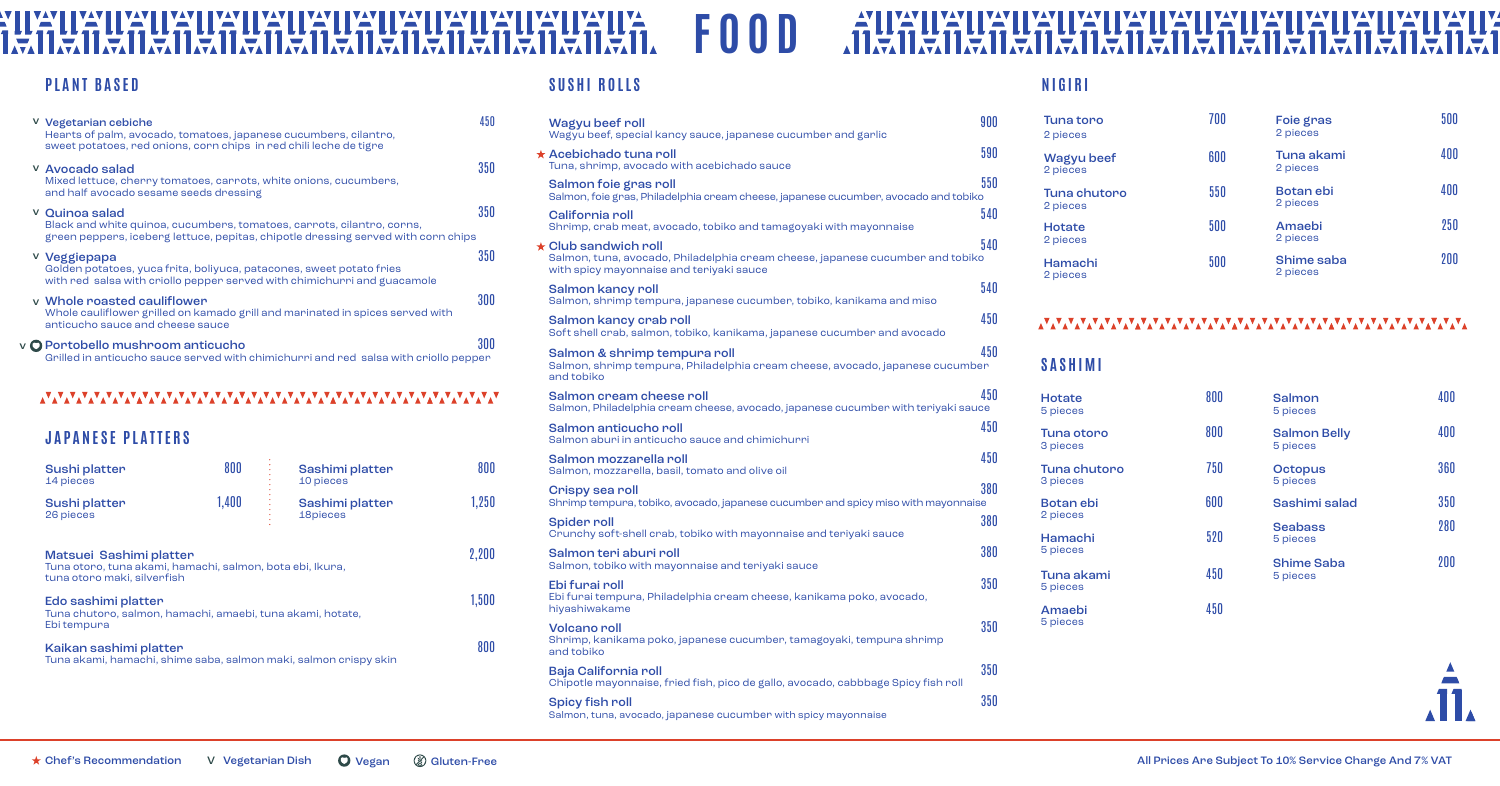| <b>SUSHI ROLLS</b>                                                                                                                                       |     |
|----------------------------------------------------------------------------------------------------------------------------------------------------------|-----|
| Wagyu beef roll<br>Wagyu beef, special kancy sauce, japanese cucumber and garlic                                                                         | 900 |
| $\star$ Acebichado tuna roll<br>Tuna, shrimp, avocado with acebichado sauce                                                                              | 590 |
| Salmon foie gras roll<br>Salmon, foie gras, Philadelphia cream cheese, japanese cucumber, avocado and tobiko                                             | 550 |
| California roll<br>Shrimp, crab meat, avocado, tobiko and tamagoyaki with mayonnaise                                                                     | 540 |
| $\star$ Club sandwich roll<br>Salmon, tuna, avocado, Philadelphia cream cheese, japanese cucumber and tobiko<br>with spicy mayonnaise and teriyaki sauce | 540 |
| Salmon kancy roll<br>Salmon, shrimp tempura, japanese cucumber, tobiko, kanikama and miso                                                                | 540 |
| Salmon kancy crab roll<br>Soft shell crab, salmon, tobiko, kanikama, japanese cucumber and avocado                                                       | 450 |
| Salmon & shrimp tempura roll<br>Salmon, shrimp tempura, Philadelphia cream cheese, avocado, japanese cucumber<br>and tobiko                              | 450 |
| Salmon cream cheese roll<br>Salmon, Philadelphia cream cheese, avocado, japanese cucumber with teriyaki sauce                                            | 450 |
| Salmon anticucho roll<br>Salmon aburi in anticucho sauce and chimichurri                                                                                 | 450 |
| Salmon mozzarella roll<br>Salmon, mozzarella, basil, tomato and olive oil                                                                                | 450 |
| Crispy sea roll<br>Shrimp tempura, tobiko, avocado, japanese cucumber and spicy miso with mayonnaise                                                     | 380 |
| <b>Spider roll</b><br>Crunchy soft-shell crab, tobiko with mayonnaise and teriyaki sauce                                                                 | 380 |
| Salmon teri aburi roll<br>Salmon, tobiko with mayonnaise and teriyaki sauce                                                                              | 380 |
| Ebi furai roll<br>Ebi furai tempura, Philadelphia cream cheese, kanikama poko, avocado,<br>hiyashiwakame                                                 | 350 |
| <b>Volcano</b> roll<br>Shrimp, kanikama poko, japanese cucumber, tamagoyaki, tempura shrimp<br>and tobiko                                                | 350 |
| <b>Baja California roll</b><br>Chipotle mayonnaise, fried fish, pico de gallo, avocado, cabbbage Spicy fish roll                                         | 350 |
| <b>Spicy fish roll</b>                                                                                                                                   | 350 |

**Tuna toro** 2 pieces

Tuna otoro 800 3 pieces Tuna chutoro  $\overline{750}$ 

Botan ebi 600 2 pieces

#### **NUXILI**<br>171171 IEAN I EAN I EAN I EAN I EAN.<br>2011 - An Dealltach I an I **FOOD Ally IYA** IKYII Щ A <u>W</u> **W** IYAY IIYA W 151 **IFA REA** IEILEI I E.I **INSA**  $\sqrt{-1}$

### **PLANT BASED**

Salmon 400 5 pieces Salmon Belly 400 5 pieces Octopus 360 5 pieces Sashimi salad 350 Seabass 280 5 pieces Shime Saba 200 5 pieces



| V Vegetarian cebiche<br>Hearts of palm, avocado, tomatoes, japanese cucumbers, cilantro,<br>sweet potatoes, red onions, corn chips in red chili leche de tigre                | 450 |
|-------------------------------------------------------------------------------------------------------------------------------------------------------------------------------|-----|
| V Avocado salad<br>Mixed lettuce, cherry tomatoes, carrots, white onions, cucumbers,<br>and half avocado sesame seeds dressing                                                | 350 |
| V Quinoa salad<br>Black and white quinoa, cucumbers, tomatoes, carrots, cilantro, corns,<br>green peppers, iceberg lettuce, pepitas, chipotle dressing served with corn chips | 350 |
| <sup>v</sup> Veggiepapa<br>Golden potatoes, yuca frita, boliyuca, patacones, sweet potato fries<br>with red salsa with criollo pepper served with chimichurri and guacamole   | 350 |
| y Whole roasted cauliflower<br>Whole cauliflower grilled on kamado grill and marinated in spices served with<br>anticucho sauce and cheese sauce                              | 300 |
| v O Portobello mushroom anticucho<br>Grilled in anticucho sauce served with chimichurri and red salsa with criollo pepper                                                     |     |

#### www.www.www.www.www.www.www.www

All Prices Are Subject To 10% Service Charge And 7% VAT

| Sushi platter<br>14 pieces                                                                                          | 800   | Sashimi platter<br>10 pieces | 800   |
|---------------------------------------------------------------------------------------------------------------------|-------|------------------------------|-------|
| Sushi platter<br>26 pieces                                                                                          | 1,400 | Sashimi platter<br>18pieces  | 1,250 |
| Matsuei Sashimi platter<br>Tuna otoro, tuna akami, hamachi, salmon, bota ebi, Ikura,<br>tuna otoro maki, silverfish |       |                              | 2,200 |
| Edo sashimi platter<br>Tuna chutoro, salmon, hamachi, amaebi, tuna akami, hotate,<br>Ebi tempura                    |       |                              | 1,500 |
| Kaikan sashimi platter<br>Tuna akami, hamachi, shime saba, salmon maki, salmon crispy skin                          |       |                              | 800   |
|                                                                                                                     |       |                              |       |

| Tuna chutoro<br>2 pieces  | 550      | <b>Botan</b> ebi<br>2 pieces | 400                 |
|---------------------------|----------|------------------------------|---------------------|
| <b>Hotate</b><br>2 pieces | 500      | Amaebi<br>2 pieces           | 250                 |
| Hamachi<br>2 pieces       | 500      | Shime saba<br>2 pieces       | 200                 |
| ∡V∡V∡V∡V∡V∡               | VAVAVAVA |                              | <b>MARKA ALAMAN</b> |
| <b>SASHIMI</b>            |          |                              |                     |
| <b>Hotate</b>             | 800      | Salmon                       |                     |

5 pieces

3 pieces

Hamachi 520 5 pieces

Tuna akami 450 5 pieces

Amaebi 450 5 pieces

#### **WW YAY MAY** IYAY I **EXHIMAL** IKYHYYH IM E NET **IFAI** I.C. IE.

| Tuna toro<br>2 pieces         | 700 | Foie gras<br>2 pieces  | 500 |
|-------------------------------|-----|------------------------|-----|
| <b>Wagyu beef</b><br>2 pieces | 600 | Tuna akami<br>2 pieces | 400 |
| Tuna chutoro<br>2 pieces      | 550 | Botan ebi<br>2 pieces  | 400 |
| Hotate<br>2 pieces            | 500 | Amaebi<br>2 pieces     | 250 |
| Hamachi<br>2 pieces           | 500 | Shime saba<br>2 pieces | 200 |

### **JAPANESE PLATTERS**

#### **NIGIRI**

IEIRI

ICI ICI

**EYIT** 

IE.

烹

YД

IE.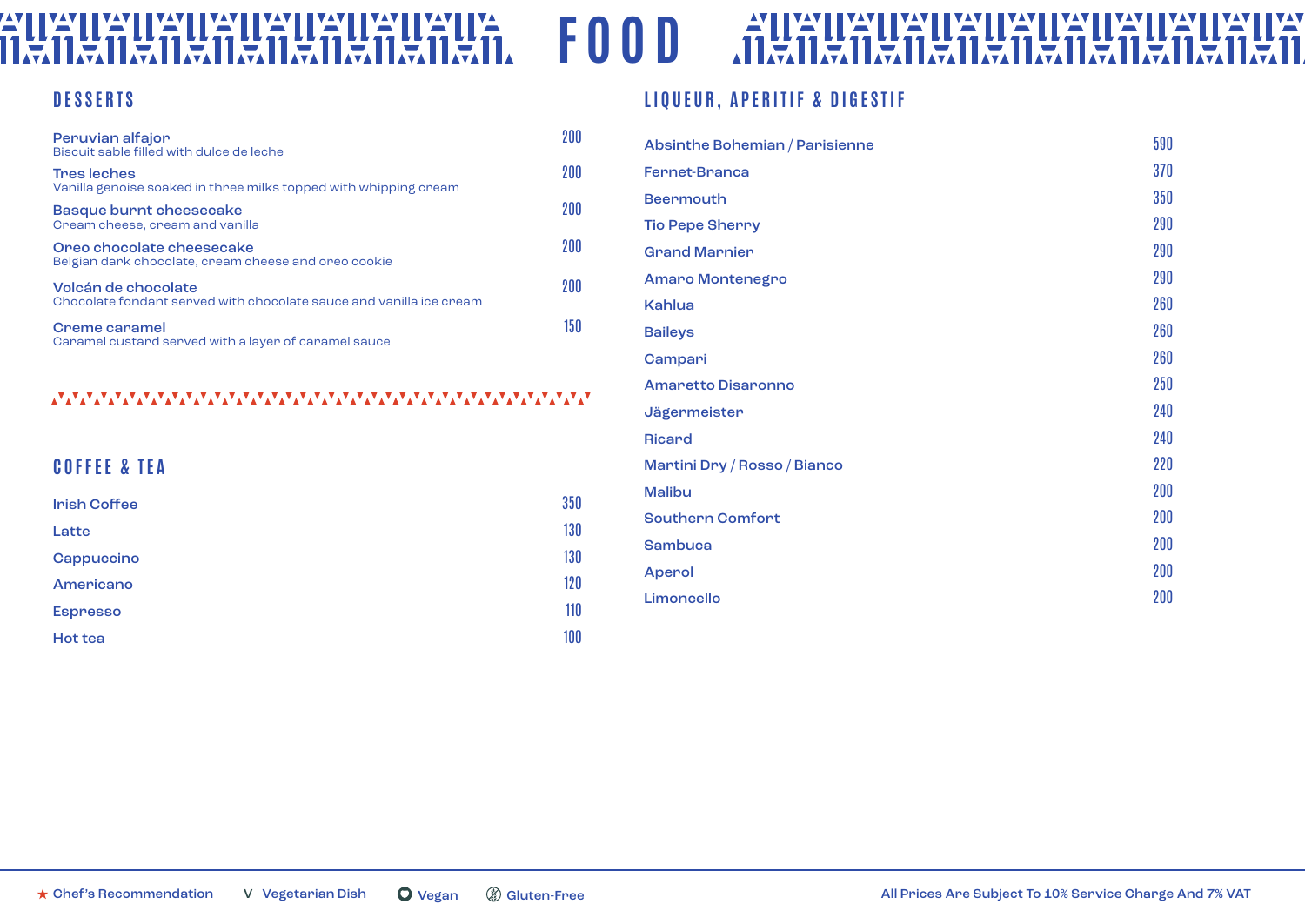#### **AII** UA<br>Mil. **ZALIZALI VALLIZA**<br>(11.<del>2</del>.11.2.11.2.11 **FOOD IIYAY** ALIA ILA ILA W W **YA'II** <u>w</u> **IYA** W <u>va</u>y <u>W</u> W Ξ 凛 意 IE 凛 蔰 蔰

#### **DESSERTS**

| Peruvian alfajor<br>Biscuit sable filled with dulce de leche                               | 200 |
|--------------------------------------------------------------------------------------------|-----|
| <b>Tres leches</b><br>Vanilla genoise soaked in three milks topped with whipping cream     | 200 |
| Basque burnt cheesecake<br>Cream cheese, cream and vanilla                                 | 200 |
| Oreo chocolate cheesecake<br>Belgian dark chocolate, cream cheese and oreo cookie          | 200 |
| Volcán de chocolate<br>Chocolate fondant served with chocolate sauce and vanilla ice cream | 200 |
| <b>Creme caramel</b><br>Caramel custard served with a layer of caramel sauce               | 150 |

#### 

## **COFFEE & TEA**

| <b>Irish Coffee</b> | 350 |
|---------------------|-----|
| Latte               | 130 |
| Cappuccino          | 130 |
| Americano           | 120 |
| <b>Espresso</b>     | 110 |
| <b>Hot tea</b>      | 100 |

### **LIQUEUR, APERITIF & DIGESTIF**

| Absinthe Bohemian / Parisienne | 590 |
|--------------------------------|-----|
| <b>Fernet-Branca</b>           | 370 |
| <b>Beermouth</b>               | 350 |
| <b>Tio Pepe Sherry</b>         | 290 |
| <b>Grand Marnier</b>           | 290 |
| <b>Amaro Montenegro</b>        | 290 |
| Kahlua                         | 260 |
| <b>Baileys</b>                 | 260 |
| Campari                        | 260 |
| <b>Amaretto Disaronno</b>      | 250 |
| Jägermeister                   | 240 |
| <b>Ricard</b>                  | 240 |
| Martini Dry / Rosso / Bianco   | 220 |
| <b>Malibu</b>                  | 200 |
| <b>Southern Comfort</b>        | 200 |
| <b>Sambuca</b>                 | 200 |
| <b>Aperol</b>                  | 200 |
| Limoncello                     | 200 |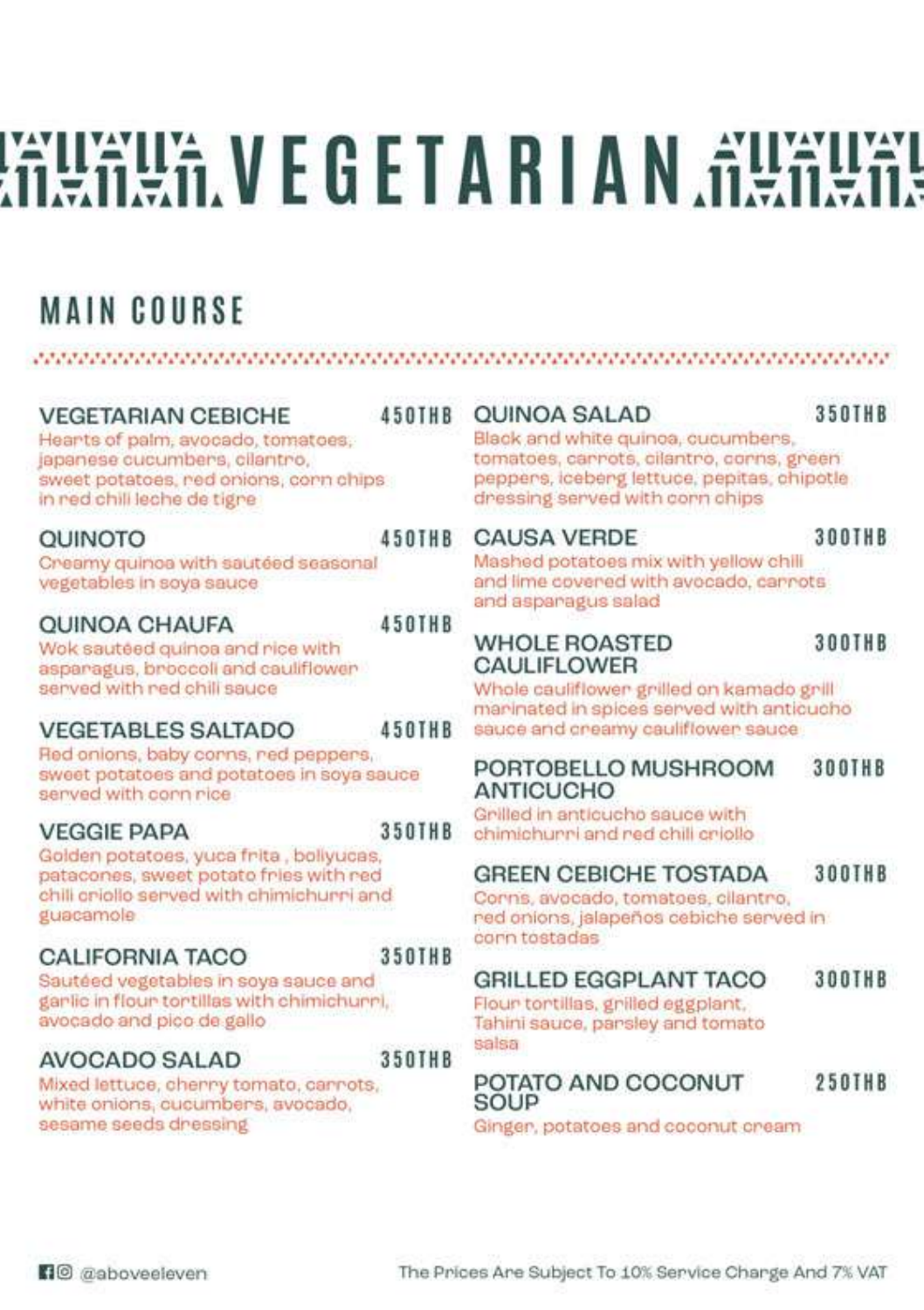# **WALKILLY EGETARIAN ALKILLY**

## **MAIN COURSE**

#### JERSEN KRISTINISTIK IN STRUKTURINING KRISTINING IN DIE KRISTINING IN DIE KRISTINING IN DIE KRISTINISTIK IN DIE **OUINOA SALAD 350THB VEGETARIAN CEBICHE 450THB** Black and white quinoa, cucumbers, Hearts of palm, avocado, tomatoes, japanese cucumbers, cilantro, tomatoes, carrots, cilantro, corns, green sweet potatoes, red onions, corn chips peppers, iceberg lettuce, pepitas, chipotle in red chili leche de tigre dressing served with corn chips 300THB 450THB **CAUSA VERDE OLINOTO** Mashed potatoes mix with vellow chili Creamy quinoa with sautéed seasonal and lime covered with avocado, carrots vegetables in soya sauce and asparagus salad **450THR OUINOA CHAUFA WHOLE ROASTED** 300THB Wok sautéed quinoa and rice with asparagus, broccoll and cauliflower **CAULIFLOWER** served with red chili sauce Whole cauliflower grilled on kamado grill maninated in spices served with anticucho **450THR** sauce and creamy cauliflower sauce **VEGETABLES SALTADO** Red onlons, baby corns, red peppers, PORTOBELLO MUSHROOM **300THB** sweet potatoes and potatoes in soya sauce **ANTICUCHO** served with corn rice Grilled in anticucho sauce with **VEGGIE PAPA 350THB** chimichunni and red chili criollo Golden potatoes, yuca frita, bollyucas, **GREEN CEBICHE TOSTADA 300THB** patacones, sweet potato fries with red chili criollo served with chimichurri and Corns, avocado, tomatoes, cilantro, guacamole red onions, ialapeños cebiche served in corn tostadas CALIFORNIA TACO **350THR** Sautéed vegetables in soya sauce and **GRILLED EGGPLANT TACO 300THB** garlic in flour tortillas with chimichurri. Flour tontillas, grilled eggplant. avocado and pico de gallo Tahini sauce, parsley and tomato salsa **350THB** AVOCADO SALAD POTATO AND COCONUT **250THB** Mixed lettuce, cherry tomato, carrots, SOUP white onions, cucumbers, avocado, sesame seeds dressing Ginger, potatoes and coconut cream